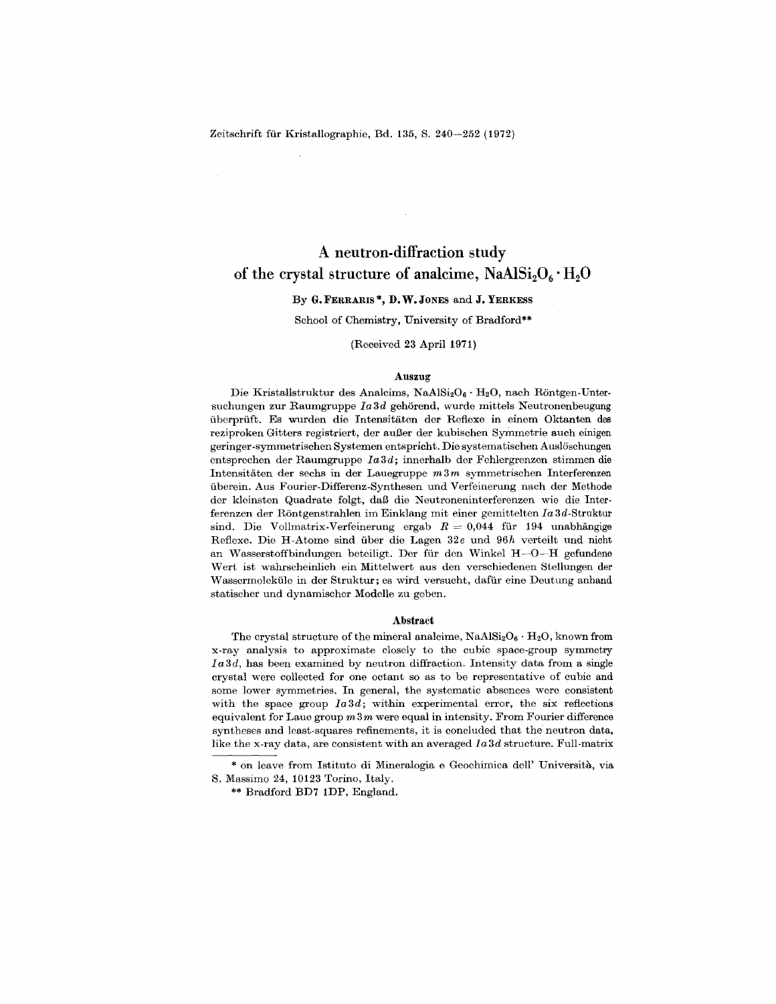Zeitschrift für Kristallographie, Bd. 135, S. 240-252 (1972)

# A neutron-diffraction study of the crystal structure of analcime,  $NaAlSi<sub>2</sub>O<sub>6</sub>·H<sub>2</sub>O$

# By G.FERRARIS\*, D. W.JONES and J. YERKESS

School of Chemistry, University of Bradford\*\*

(Received 23 April 1971)

#### Auszug

Die Kristallstruktur des Analcims,  $\text{NaAlSi}_2\text{O}_6 \cdot \text{H}_2\text{O}$ , nach Röntgen-Untersuchungen zur Raumgruppe *Ia3d* gehörend, wurde mittels Neutronenbeugung uberpruft\_ Es wurden die Intensitaten der Reflexe in einem Oktanten des reziproken Gitters registriert, der außer der kubischen Symmetrie auch einigen geringer-symmetrischen Systemen entspricht. Die systematischen Ausloschungen entsprechen der Raumgruppe *Ia3d;* innerhalb der Fehlergrenzen stimmen die Intensitaten der sechs in der Lauegruppe *m3m* symmetrischen Interferenzen uberein. Aus Fourier-Differenz-Synthesen und Verfeinerung nach der Methode der kleinsten Quadrate folgt, daß die Neutroneninterferenzen wie die Interferenzen der Rontgenstrahlen im Einklang mit einer gemittelten *Ia* 3d-Struktur sind. Die Vollmatrix-Verfeinerung ergab  $R = 0.044$  für 194 unabhäng Reflexe. Die H-Atome sind uber die Lagen *32e* und *96h* verteilt und nicht an Wasserstoffbindungen beteiligt. Der für den Winkel  $H$ -O-H gefundene Wert ist wahrscheinlich ein Mittelwert aus den verschiedenen Stellungen der Wassermoleküle in der Struktur; es wird versucht, dafür eine Deutung anhand statischer und dynamischer Modelle zu geben.

### Abstract

The crystal structure of the mineral analcime,  $NaAlSi<sub>2</sub>O<sub>6</sub> · H<sub>2</sub>O$ , known from x-ray analysis to approximate closely to the cubic space-group symmetry *Ia3d,* has been examined by neutron diffraction. Intensity data from a single crystal were collected for one octant so as to be representative of cubic and some lower symmetries. In general, the systematic absences were consistent with the space group  $Ia3d$ ; within experimental error, the six reflections equivalent for Laue group *m* 3 *m* were equal in intensity. From Fourier difference syntheses and least-squares refinements, it is concluded that the neutron data, like the x-ray data, are consistent with an averaged *Ia3d* structure. Full-matrix

<sup>\*</sup> on leave from Istituto di Mineralogia e Geochimica dell' Universita, via S. Massimo 24, 10123 Torino, Italy.

<sup>\*\*</sup> Bradford BD7 1DP, England.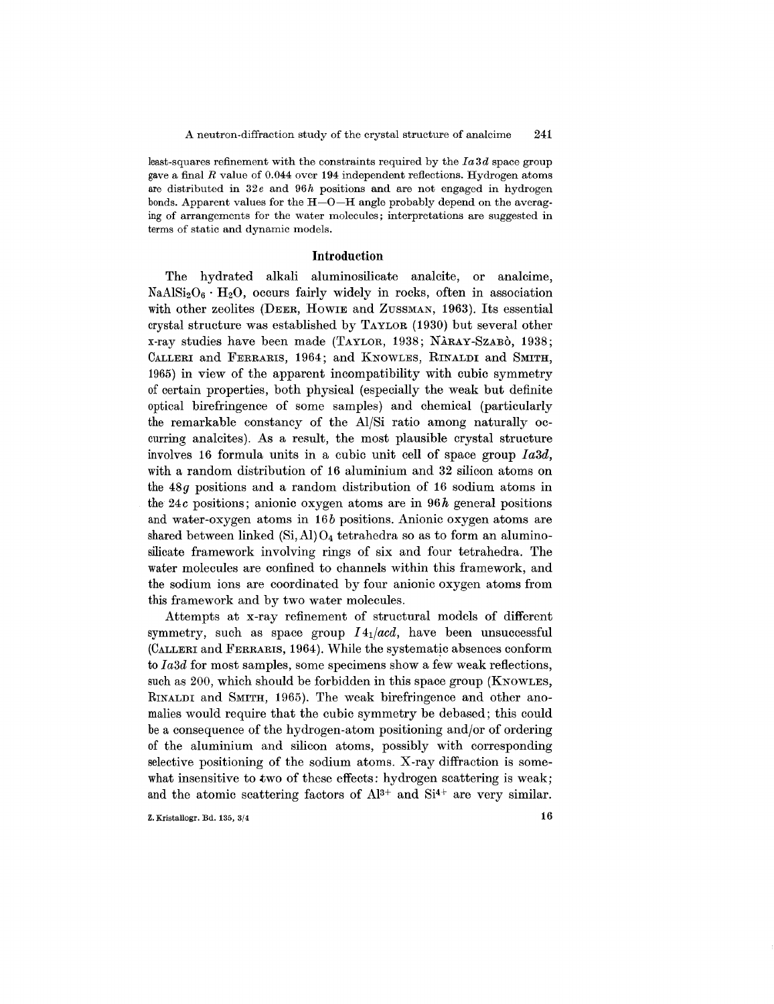least-squares refinement with the constraints required by the *Ia3d* space group gave a final *R* value of 0.044 over 194 independent reflections. Hydrogen atoms are distributed in *32e* and *96h* positions and are not engaged in hydrogen bonds. Apparent values for the H-Q-H angle probably depend on the averaging of arrangements for the water molecules; interpretations are suggested in terms of static and dynamic models.

## **Introduction**

The hydrated alkali aluminosilicate analcite, or analcime,  $NaAlSi<sub>2</sub>O<sub>6</sub> · H<sub>2</sub>O$ , occurs fairly widely in rocks, often in association with other zeolites (DEER, HOWIE and ZUSSMAN, 1963). Its essential crystal structure was established by TAYLOR (1930) but several other x-ray studies have been made (TAYLOR, 1938; NARAY-SZABO, 1938; CALLERI and FERRARIS, 1964; and KNOWLES, RINALDI and SMITH, 1965) in view of the apparent incompatibility with cubic symmetry of certain properties, both physical (especially the weak but definite optical birefringence of some samples) and chemical (particularly the remarkable constancy of the AI/Si ratio among naturally occurring analcites). As a result, the most plausible crystal structure involves 16 formula units in a cubic unit cell of space group *Ia3d,* with a random distribution of 16 aluminium and 32 silicon atoms on the *48g* positions and a random distribution of 16 sodium atoms in the *24c* positions; anionic oxygen atoms are in *96h* general positions and water-oxygen atoms in *16b* positions. Anionic oxygen atoms are shared between linked  $(Si, Al) O<sub>4</sub>$  tetrahedra so as to form an aluminosilicate framework involving rings of six and four tetrahedra. The water molecules are confined to channels within this framework, and the sodium ions are coordinated by four anionic oxygen atoms from this framework and by two water molecules.

Attempts at x-ray refinement of structural models of different symmetry, such as space group *141/acd,* have been unsuccessful (CALLERI and FERRARIS, 1964). While the systematic absences conform to *Ia3d* for most samples, some specimens show a few weak reflections, such as 200, which should be forbidden in this space group (KNOWLES, RINALDI and SMITH, 1965). The weak birefringence and other anomalies would require that the cubic symmetry be debased; this could be a consequence of the hydrogen-atom positioning and/or of ordering of the aluminium and silicon atoms, possibly with corresponding selective positioning of the sodium atoms. X-ray diffraction is somewhat insensitive to two of these effects: hydrogen scattering is weak; and the atomic scattering factors of  $Al^{3+}$  and  $Si^{4+}$  are very similar.

**Z.** Kristallogr. Bd. 135,  $3/4$  16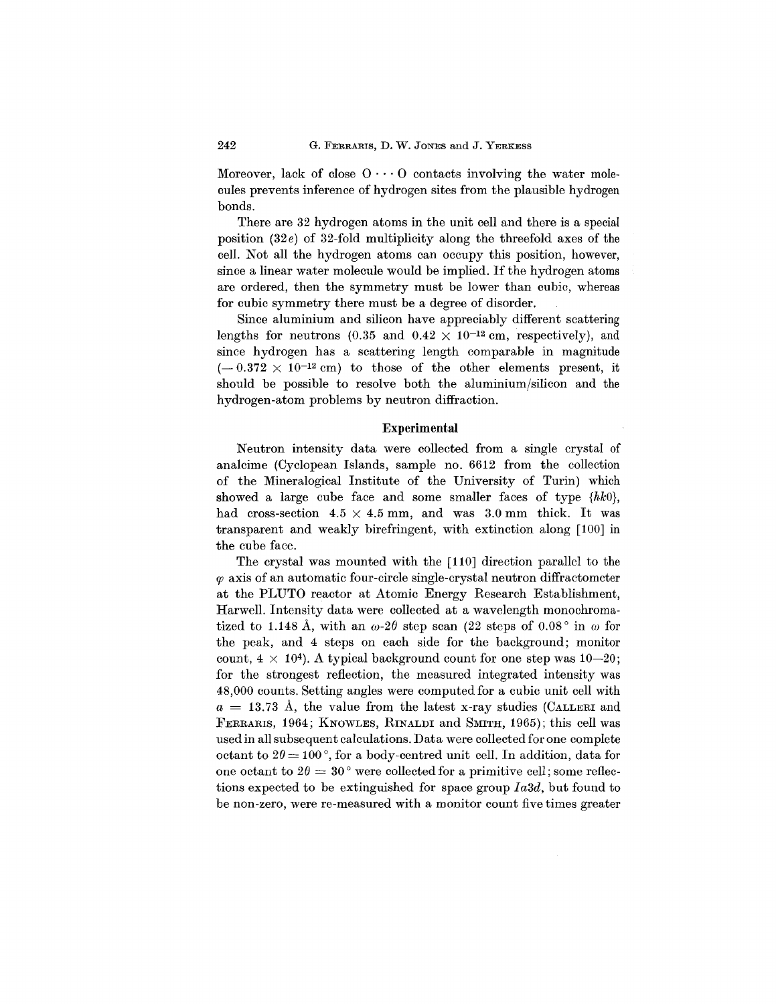Moreover, lack of close  $0 \cdots 0$  contacts involving the water molecules prevents inference of hydrogen sites from the plausible hydrogen bonds.

There are 32 hydrogen atoms in the unit cell and there is a special position *(32e)* of 32-fold multiplicity along the threefold axes of the cell. Not all the hydrogen atoms can occupy this position, however, since a linear water molecule would be implied. If the hydrogen atoms are ordered, then the symmetry must be lower than cubic, whereas for cubic symmetry there must be a degree of disorder.

Since aluminium and silicon have appreciably different scattering lengths for neutrons (0.35 and  $0.42 \times 10^{-12}$  cm, respectively), and since hydrogen has a scattering length comparable in magnitude  $(-0.372 \times 10^{-12} \text{ cm})$  to those of the other elements present, it should be possible to resolve both the aluminium/silicon and the hydrogen-atom problems by neutron diffraction.

### Experimental

Neutron intensity data were collected from a single crystal of analcime (Cyclopean Islands, sample no. 6612 from the collection of the Mineralogical Institute of the University of Turin) which showed a large cube face and some smaller faces of type  $\{hk0\}$ , had cross-section  $4.5 \times 4.5$  mm, and was  $3.0$  mm thick. It was transparent and weakly birefringent, with extinction along [100] in the cube face.

The crystal was mounted with the [110] direction parallel to the  $\varphi$  axis of an automatic four-circle single-crystal neutron diffractometer at the PLUTO reactor at Atomic Energy Research Establishment, Harwell. Intensity data were collected at a wavelength monochromatized to 1.148 Å, with an  $\omega$ -2 $\theta$  step scan (22 steps of 0.08<sup>°</sup> in  $\omega$  for the peak, and 4 steps on each side for the background; monitor count,  $4 \times 10^4$ ). A typical background count for one step was  $10-20$ ; for the strongest reflection, the measured integrated intensity was 48,000 counts. Setting angles were computed for a cubic unit cell with  $a = 13.73$  Å, the value from the latest x-ray studies (CALLERI and FERRARIS, 1964; KNOWLES, RINALDI and SMITH, 1965); this cell was used in all subsequent calculations. Data were collected for one complete  $\text{octant to } 2\theta = 100^{\degree}$ , for a body-centred unit cell. In addition, data for one octant to  $2\theta = 30^{\degree}$  were collected for a primitive cell; some reflections expected to be extinguished for space group *Ia3d,* but found to be non-zero, were re-measured with a monitor count five times greater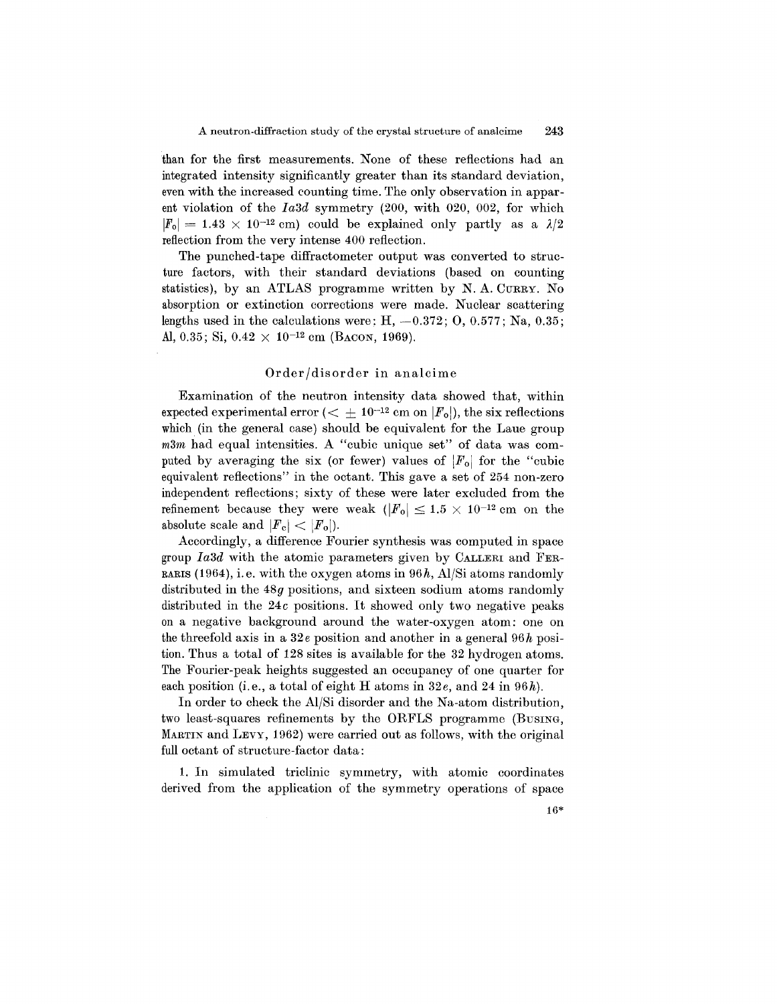than for the first measurements. None of these reflections had an integrated intensity significantly greater than its standard deviation, even with the increased counting time. The only observation in apparent violation of the *Ia3d* symmetry (200, with 020, 002, for which  $|F_0| = 1.43 \times 10^{-12}$  cm) could be explained only partly as a  $\lambda/2$ reflection from the very intense 400 reflection.

The punched-tape diffractometer output was converted to structure factors, with their standard deviations (based on counting statistics), by an ATLAS programme written by N. A. CURRY. No absorption or extinction corrections were made. Nuclear scattering lengths used in the calculations were:  $H_1$ ,  $-0.372$ ;  $O_2$ ,  $0.577$ ; Na,  $0.35$ ; Al, 0.35; Si,  $0.42 \times 10^{-12}$  cm (BACON, 1969).

### Order/disorder in analcime

Examination of the neutron intensity data showed that, within expected experimental error  $( $+10^{-12}$  cm on  $|F_0|$ , the six reflections$ which (in the general case) should be equivalent for the Laue group *m3m* had equal intensities. A "cubic unique set" of data was computed by averaging the six (or fewer) values of  $|F_{o}|$  for the "cubic equivalent reflections" in the octant. This gave a set of 254 non-zero independent reflections; sixty of these were later excluded from the refinement because they were weak  $(|F_0| \leq 1.5 \times 10^{-12}$  cm on the absolute scale and  $|F_c| < |F_o|$ .

Accordingly, a difference Fourier synthesis was computed in space group *Ia3d* with the atomic parameters given by CALLERI and FER-RARIS(1964), i.e. with the oxygen atoms in *96h,* AI/Si atoms randomly distributed in the  $48g$  positions, and sixteen sodium atoms randomly distributed in the *24c* positions. It showed only two negative peaks on a negative background around the water-oxygen atom: one on the threefold axis in a *32e* position and another in a general *96h* position. Thus a total of 128 sites is available for the 32 hydrogen atoms. The Fourier-peak heights suggested an occupancy of one quarter for each position (i.e., a total of eight H atoms in *32e,* and 24 in *96h).*

In order to check the AI/Si disorder and the Na-atom distribution, two least-squares refinements by the ORFLS programme (BUSING, MARTIN and LEVY, 1962) were carried out as follows, with the original full octant of structure-factor data:

1. In simulated triclinic symmetry, with atomic coordinates derived from the application of the symmetry operations of space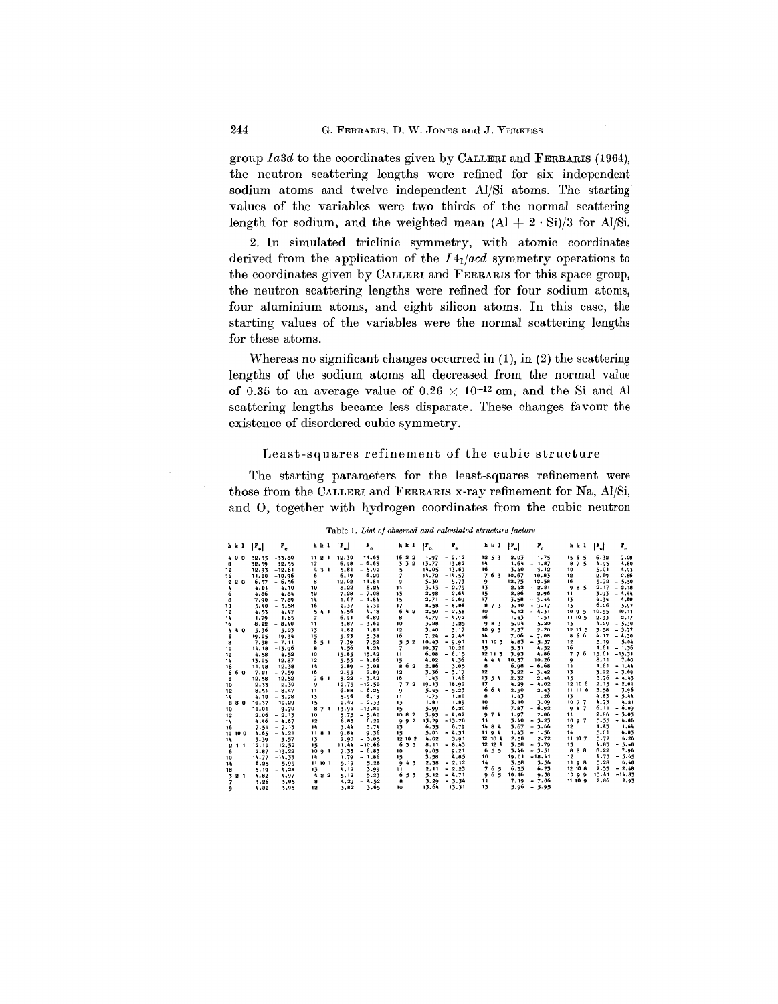group *Ia3d* to the coordinates given by CALLERI and FERRARIS (1964), the neutron scattering lengths were refined for six independent sodium atoms and twelve independent AI/Si atoms. The starting values of the variables were two thirds of the normal scattering length for sodium, and the weighted mean  $(AI + 2 \cdot Si)/3$  for Al/Si.

2. In simulated triclinic symmetry, with atomic coordinates derived from the application of the *141/acd* symmetry operations to the coordinates given by CALLERI and FERRARIS for this space group, the neutron scattering lengths were refined for four sodium atoms, four aluminium atoms, and eight silicon atoms. In this case, the starting values of the variables were the normal scattering lengths for these atoms.

Whereas no significant changes occurred in (1), in (2) the scattering lengths of the sodium atoms all decreased from the normal value of 0.35 to an average value of  $0.26 \times 10^{-12}$  cm, and the Si and Al scattering lengths became less disparate. These changes favour the existence of disordered cubic symmetry.

# Least-squares refinement of the cubic structure

The starting parameters for the least-squares refinement were those from the CALLERI and FERRARIS x-ray refinement for Na, AI/Si, and 0, together with hydrogen coordinates from the cubic neutron

|  |  |  |  | Table 1. List of observed and calculated structure factor. |  |  |
|--|--|--|--|------------------------------------------------------------|--|--|
|--|--|--|--|------------------------------------------------------------|--|--|

| h k l                         | $ \mathbf{r}_{\circ} $ | $\mathbf{r}_{\rm e}$  | <b>h</b> k 1        | $\mathbf{r}_{\rm a}$<br>$ r_{\circ} $ | h k l                  | $ F_{o} $<br>۴.             | h k l                          | $\lfloor r_{\rm o} \rfloor$<br>$P_{c}$ | $ P_o $<br>Ρ,<br>h k l                                   |
|-------------------------------|------------------------|-----------------------|---------------------|---------------------------------------|------------------------|-----------------------------|--------------------------------|----------------------------------------|----------------------------------------------------------|
| 400                           | 32.35                  | $-55.80$              | 1121                | 11.63<br>12.30                        | 16 2 2                 | $-2.12$<br>1.97             | 12, 5, 3                       | 2.03<br>$-1.75$                        | 1565<br>6.32<br>7.08                                     |
| 8                             | 32.59                  | 32.55                 | 17                  | $-6.63$<br>6.98                       | $\mathbf{2}$<br>33     | 13.77<br>13.82              | 14                             | 1.64<br>$-1.87$                        | 8<br>75<br>4.95<br>4.80                                  |
| 12                            | 12.93                  | $-12.61$              | 4<br>71             | 5.81<br>$-5.92$                       | 5                      | 14.05<br>13.69              | 16                             | 3.40<br>3.12                           | 5.01<br>10<br>4.93                                       |
| 16                            | 11.00                  | $-10.96$              | 6                   | 6.19<br>6.20                          | 7                      | 14.72<br>$-14.57$           | 7<br>63                        | 10.67<br>10.83                         | 12<br>2.69<br>2.86                                       |
| 2 <sub>0</sub><br>$\mathbf 2$ | 6.57                   | $-6.56$               | 8                   | 11.81<br>12,02                        | 9                      | 5.30<br>5.73                | 9                              | 12,75<br>12.58                         | 5.72<br>5.50<br>16<br>$\overline{\phantom{0}}$           |
| 4                             | 4.01                   | 4.10                  | 10                  | 8.22<br>8.24                          | 11                     | 3.13<br>$-2.79$             | 13                             | 2.42<br>$-2.21$                        | 2, 17<br>9<br>85<br>$-2.18$                              |
| 6                             | 4.86                   | 4.84                  | 12                  | $-7.08$<br>7,28                       | 13                     | 2.64<br>2.98                | 15                             | 2.86<br>2.96                           | 3.93<br>$-4.44$<br>11                                    |
| a                             | 7.90                   | $-7.89$               | 14                  | 1.67<br>$-1.84$                       | 15                     | $-2.69$<br>2.71             | 17                             | 3.58<br>$-5.44$                        | 13<br>4.34<br>4.60                                       |
| 10                            | 5.40                   | $-5.58$               | 16                  | 2.30<br>2.37                          | 17                     | 8.58<br>$-0.08$             | 8<br>73                        | 3.10<br>$-3.17$                        | 6.26<br>5.97<br>15                                       |
| 12                            | 4.53                   | 4.47                  | 5<br>4 <sub>1</sub> | 4.18<br>4.56                          | 642                    | 2,50<br>$-2.58$             | 10                             | 4.12<br>$-4.31$                        | 10.55<br>1095<br>10.11                                   |
| 14                            | 1.79                   | 1.65                  | 7                   | 6.89<br>6.91                          | 8                      | 4.79<br>$-4.92$             | 16                             | 1.43<br>1.51                           | 11 10 5<br>2.33<br>2.17                                  |
| 16                            | 8.22                   | $-8.40$               | 11                  | $-3.62$<br>3.87                       | 10                     | 3.25<br>3.28                | 983                            | 5.04<br>5.20                           | 13<br>4.29<br>5.30<br>$\overline{\phantom{a}}$           |
| 4<br>40                       | 5.36                   | 5.23                  | 13                  | 1,81<br>1,82                          | 12                     | 3.40<br>3.17                | 1093                           | 2.37<br>2.20                           | 12 11 5<br>3.58<br>3.77<br>۰                             |
| 6                             | 19.05                  | 19.34                 | 15                  | 5.23<br>5.38                          | 16                     | 7.24<br>$-7.48$             | 14                             | $-7.08$<br>7.06                        | 66<br>8<br>4,17<br>$-4.30$                               |
| 8                             | 7.38                   | $-7.11$               | 6<br>5 1            | 7.39<br>7.52                          | 52<br>5.               | 10.43<br>$-9.91$            | 11 10 3                        | 4.83<br>$-5.57$                        | 5.04<br>12<br>5.19                                       |
| 10                            | 14,18                  | $-13.96$              | 8                   | 4.24<br>4.56                          | 7                      | 10.20<br>10.37              | 15                             | 5.31<br>4.52                           | 16<br>1.61<br>$-1.36$                                    |
| 12                            | 4.58                   | 4.52                  | 10                  | 15.85<br>15.42                        | 11                     | 6.08<br>$-6.15$             | 12 11 3                        | 3.93<br>4.86                           | -6<br>15.61<br>$\overline{\phantom{a}}$<br>7<br>$-15.31$ |
| 14                            | 13.05                  | 12.87                 | 12                  | $-4.86$<br>5.55                       | 15                     | 4.02<br>4.36                | ٠<br>44                        | 10.26<br>10.37                         | 8.11<br>7.60<br>9                                        |
| 16                            | 11,98                  | 12.38                 | 14                  | $-3.08$<br>2.89                       | 862                    | 2.86<br>3.05                | 8                              | $-6.68$<br>6.98                        | 1.61<br>$-1.44$<br>11                                    |
| 6<br>60                       | 7.21                   | $-7.59$               | 16                  | 2.89<br>2.95                          | 12                     | 3.36<br>$-3.17$             | 12                             | 3.22<br>$-3.42$                        | 13<br>3.22<br>$-3.69$                                    |
| 8                             | 12.58                  | 12.52                 | 761                 | 3.22<br>$-3.42$                       | 16                     | 1.43<br>1.46                | 13<br>54                       | 2.32<br>2.44                           | 3.76<br>$-4.45$<br>15                                    |
| 10                            | 2.33                   | 2.30                  | 9                   | 12.75<br>$-12.50$                     | 772                    | 18.92<br>19.13              | 17                             | 4.29<br>$-4.02$                        | 12 10 6<br>$-2.01$<br>2,15                               |
| 12                            | 8.51                   | $-8.47$               | 11                  | $-6.25$<br>6.88                       | 9                      | 5.45<br>$-5.23$             | 664                            | 2.50<br>2.43                           | 11 11 6<br>3.58<br>3.96                                  |
| 14                            | 4.10                   | $-3.78$               | 13                  | 5.96<br>6,13                          | 11                     | 1.80<br>1.73                | 8                              | 1.43<br>1.26                           | 13<br>4.83<br>5.44<br>٠                                  |
| 80<br>8                       | 10.37                  | 10.29                 | 15                  | 2.42<br>$-2.33$                       | 13                     | 1.81<br>1.89                | 10<br>16                       | 3.10<br>3.09<br>$-6.92$                | 4.75<br>10 7 7<br>4.81<br>6.09                           |
| 10                            | 10.01                  | 9.70                  | 8<br>7 1            | 13.94<br>$-15.80$                     | 15                     | 6.20<br>5.99                |                                | 7.87                                   | 987<br>6,11<br>٠<br>3.03<br>2.86<br>11<br>Ξ.             |
| 12                            | 2.06                   | $-2.15$               | 10                  | 5.75<br>$-5.60$                       | 1082<br>$\overline{2}$ | $-4,02$<br>3.93<br>$-13.20$ | 9<br>74<br>11                  | 1.97<br>2.06<br>3.40<br>$-7.23$        | $-6.06$<br>5.55<br>1097                                  |
| 14                            | 4.46                   | $-4.67$               | 12                  | 6.22<br>6.83                          | 9<br>۹                 | 13.29<br>6.79<br>6.35       | 14 8 4                         | 3.67<br>$-3.66$                        | 12<br>1.43<br>1.64                                       |
| 16                            | 7.51                   | $-7.15$               | 14<br>1181          | 3.74<br>3.44<br>9.84<br>9.36          | 13<br>15               | $-4.31$<br>5.01             | 1194                           | 1.43<br>$-1.56$                        | 6.03<br>5.01<br>14                                       |
| 10 0<br>10                    | 4.65                   | $-4,21$               |                     | $-3.05$<br>2.90                       | 12 10 2                | 3.91<br>4.02                | 12 10 4                        | 2.72<br>2.50                           | 6.26<br>5.72<br>11 10 7                                  |
| 14                            | 3.39<br>12.10          | 3.57                  | 13                  | 11.44<br>$-10.66$                     | 633                    | $-8.45$<br>8.11             | 12 12 4                        | 3.58<br>$-3.79$                        | 4.83<br>5.40<br>13<br>Ξ.                                 |
| $\mathbf{2}$<br>11            |                        | 12.52                 | 15<br>1091          | 7.33<br>$-6.83$                       | 10                     | 9.05<br>9.21                | 6<br>5 <sub>5</sub>            | 3.46<br>$-3.51$                        | 8.22<br>888<br>7.96                                      |
| 6                             | 12,87<br>14.77         | $-13.22$<br>$-14, 33$ | 14                  | 1.79<br>$-1.86$                       | 15                     | 4.85<br>3.58                | 10                             | 19.01<br>$-18.41$                      | 4.73<br>$-5.65$<br>12                                    |
| 10<br>14                      | 6.25                   | 5.99                  | 11 10 1             | 5.28<br>5.19                          | 4.7<br>9               | $-2.12$<br>2.38             | 14                             | 3.58<br>3.56                           | 5.28<br>6.40<br>1198                                     |
| 18                            | 5.19                   | $-4.28$               | 13                  | 4,12<br>3.99                          | 11                     | 2.11<br>$-2.23$             | 65<br>$\overline{\phantom{a}}$ | 6.23<br>6.35                           | 12 10 8<br>2.33<br>$-2.48$                               |
| 2 <sub>1</sub><br>3           | 4.82                   | 4.97                  | 422                 | 5.12<br>5.23                          | 5.3<br>6               | 5.12<br>$-4,71$             | 65<br>9                        | 10.16<br>9.38                          | 10 9 9<br>13.41<br>$-14.83$                              |
|                               | 3.26                   | 3.05                  | a                   | 4.29<br>$-4.52$                       | 8                      | $-3.34$<br>3.29             | 11                             | 7.19<br>$-7.06$                        | 2,86<br>11109<br>2.93                                    |
| 9                             | 4.02                   | 3.95                  | 12                  | 3.65<br>3,82                          | 10                     | 13.64<br>13.31              | 13                             | 5.96<br>$-5.95$                        |                                                          |
|                               |                        |                       |                     |                                       |                        |                             |                                |                                        |                                                          |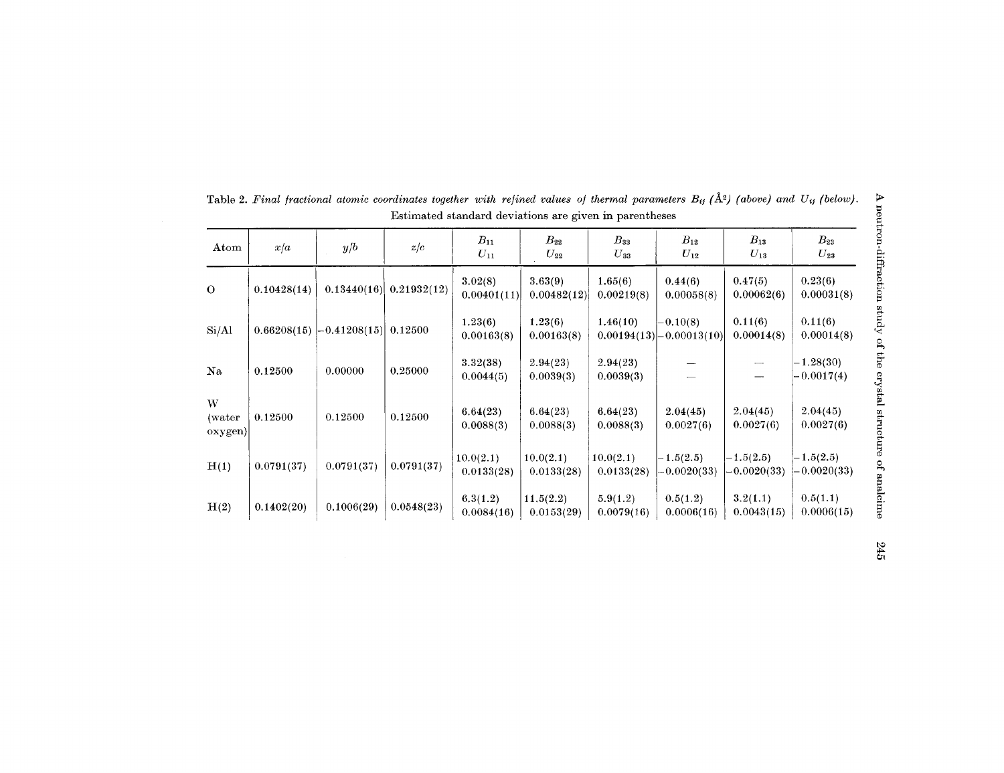| Atom                   | x/a         | y/b              | z/c         | $B_{11}$<br>$U_{11}$    | $B_{22}$<br>$U_{22}$    | $B_{33}$<br>$U_{33}$    | $B_{12}$<br>$U_{12}$                        | $B_{13}$<br>$U_{13}$         | $B_{23}$<br>$U_{23}$         |
|------------------------|-------------|------------------|-------------|-------------------------|-------------------------|-------------------------|---------------------------------------------|------------------------------|------------------------------|
| $\mathbf 0$            | 0.10428(14) | 0.13440(16)      | 0.21932(12) | 3.02(8)<br>0.00401(11)  | 3.63(9)<br>0.00482(12)  | 1.65(6)<br>0.00219(8)   | 0.44(6)<br>0.00058(8)                       | 0.47(5)<br>0.00062(6)        | 0.23(6)<br>0.00031(8)        |
| Si/Al                  | 0.66208(15) | $[-0.41208(15)]$ | 0.12500     | 1.23(6)<br>0.00163(8)   | 1.23(6)<br>0.00163(8)   | 1.46(10)                | $-0.10(8)$<br>$0.00194(13)$ $- 0.00013(10)$ | 0.11(6)<br>0.00014(8)        | 0.11(6)<br>0.00014(8)        |
| Na                     | 0.12500     | 0.00000          | 0.25000     | 3.32(38)<br>0.0044(5)   | 2.94(23)<br>0.0039(3)   | 2.94(23)<br>0.0039(3)   |                                             |                              | $-1.28(30)$<br>$-0.0017(4)$  |
| W<br>(water<br>oxygen) | 0.12500     | 0.12500          | 0.12500     | 6.64(23)<br>0.0088(3)   | 6.64(23)<br>0.0088(3)   | 6.64(23)<br>0.0088(3)   | 2.04(45)<br>0.0027(6)                       | 2.04(45)<br>0.0027(6)        | 2.04(45)<br>0.0027(6)        |
| H(1)                   | 0.0791(37)  | 0.0791(37)       | 0.0791(37)  | 10.0(2.1)<br>0.0133(28) | 10.0(2.1)<br>0.0133(28) | 10.0(2.1)<br>0.0133(28) | $-1.5(2.5)$<br>$-0.0020(33)$                | $-1.5(2.5)$<br>$-0.0020(33)$ | $-1.5(2.5)$<br>$-0.0020(33)$ |
| H(2)                   | 0.1402(20)  | 0.1006(29)       | 0.0548(23)  | 6.3(1.2)<br>0.0084(16)  | 11.5(2.2)<br>0.0153(29) | 5.9(1.2)<br>0.0079(16)  | 0.5(1.2)<br>0.0006(16)                      | 3.2(1.1)<br>0.0043(15)       | 0.5(1.1)<br>0.0006(15)       |

Table 2. Final fractional atomic coordinates together with refined values of thermal parameters  $B_{ij}$  ( $\AA$ <sup>2</sup>) (above) and  $U_{ij}$  (below). A neutron-diffraction study of the crystal structure of analcime Estimated standard deviations are given in parentheses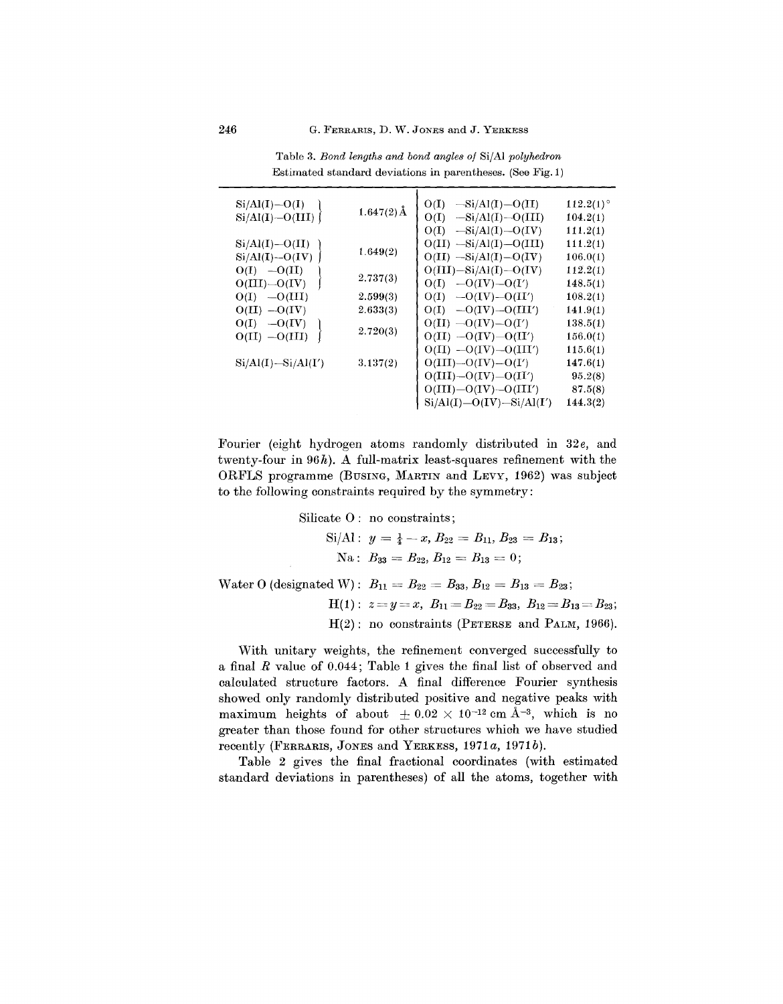| $Si/Al(I) - O(I)$<br>$Si/Al(I) - O(III)$ | $1.647(2)$ Å         | $-Si/Al(I) - O(II)$<br>O(I)<br>$-Si/Al(I) - O(III)$<br>O(I)<br>O(I)<br>$-Si/Al(I) - O(IV)$ | $112.2(1)$ °<br>104.2(1)<br>111.2(1) |
|------------------------------------------|----------------------|--------------------------------------------------------------------------------------------|--------------------------------------|
| $Si/Al(I) - O(II)$<br>$Si/Al(I) - O(IV)$ | 1.649(2)             | $O(II)$ $-Si/Al(I) - O(III)$<br>$O(II)$ $-Si/Al(I) - O(IV)$                                | 111.2(1)<br>106.0(1)                 |
| $O(I) - O(II)$<br>$O(III) - O(IV)$       | 2.737(3)             | $O(III) - Si/Al(I) - O(IV)$<br>$-O(IV) - O(1')$<br>O(I)                                    | 112.2(1)<br>148.5(1)                 |
| $O(I)$ $-O(III)$<br>$O(II) - O(IV)$      | 2.599(3)<br>2.633(3) | $-O(IV) - O(II')$<br>O(I)<br>$-O(IV) - O(III')$<br>O(I)                                    | 108.2(1)<br>141.9(1)                 |
| $O(I)$ $-O(IV)$<br>$O(II) - O(III)$      | 2.720(3)             | $O(II)$ $-O(IV)$ $-O(IV)$<br>$O(II) - O(IV) - O(II')$                                      | 138.5(1)<br>156.0(1)                 |
| $Si/Al(I) - Si/Al(I')$                   | 3.137(2)             | $O(II)$ $-O(IV)$ $-O(III')$<br>$O(III) - O(IV) - O(1')$                                    | 115.6(1)<br>147.6(1)                 |
|                                          |                      | $O(III) - O(IV) - O(II')$<br>$O(III) - O(IV) - O(III')$<br>$Si/Al(I) - O(IV) - Si/Al(I')$  | 95.2(8)<br>87.5(8)<br>144.3(2)       |

Table 3. *Bond lengths and bond angles of* SijAl *polyhedron* Estimated standard deviations in parentheses. (See Fig. 1)

Fourier (eight hydrogen atoms randomly distributed in *32e,* and twenty-four in *96h).* A full-matrix least-squares refinement with the ORFLS programme (BUSING, MARTIN and LEVY, 1962) was subject to the following constraints required by the symmetry:

 $\mathrm{Silicate}\ 0:\ \mathrm{no}\ \mathrm{constraint}$ 

 $\text{Si/Al}: y = \frac{1}{4} - x, B_{22} = B_{11}, B_{23} = B_{13};$  $\mathrm{Na}: \ B_{33}=B_{22}, B_{12}=B_{13}=0;$ 

 $\text{Water O (designated W): } B_{11} = B_{22} = B_{33}, B_{12} = B_{13} = B_{23}$  $\mathrm{H}(1): \,\, z\!=\!y\!=\!x, \,\, B_{11}\!=\!B_{22}\!=\!B_{33}, \,\, B_{12}\!=\!B_{13}\!=\!x.$  $H(2)$ : no constraints (PETERSE and PALM, 1966).

With unitary weights, the refinement converged successfully to a final *R* value of 0.044; Table 1 gives the final list of observed and calculated structure factors. A final difference Fourier synthesis showed only randomly distributed positive and negative peaks with maximum heights of about  $\pm 0.02 \times 10^{-12}$  cm Å<sup>-3</sup>, which is no greater than those found for other structures which we have studied recently (FERRARIS, JONES and YERKESS, *1971a, 1971b).*

Table 2 gives the final fractional coordinates (with estimated standard deviations in parentheses) of all the atoms, together with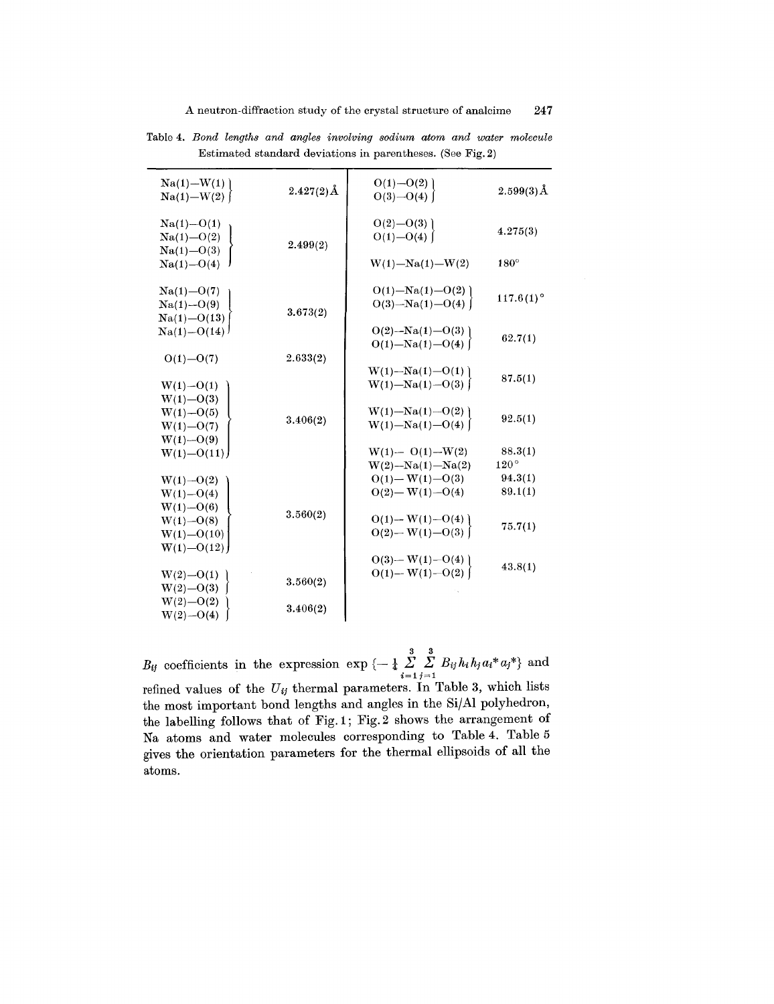| $Na(1) - W(1)$<br>$Na(1) - W(2)$                                 | $2.427(2)\text{\AA}$ | $O(1) - O(2)$<br>$O(3) - O(4)$                 | $2.599(3)\AA$            |
|------------------------------------------------------------------|----------------------|------------------------------------------------|--------------------------|
| $Na(1) - O(1)$<br>$Na(1) - O(2)$                                 | 2.499(2)             | $O(2) - O(3)$<br>$O(1) - O(4)$                 | 4.275(3)                 |
| $Na(1) - O(3)$<br>$Na(1) - O(4)$                                 |                      | $W(1) - Na(1) - W(2)$                          | $180^\circ$              |
| $Na(1) - O(7)$<br>$Na(1) - O(9)$<br>$Na(1) - O(13)$              | 3.673(2)             | $O(1) - Na(1) - O(2)$<br>$O(3)$ -Na(1)- $O(4)$ | $117.6(1)$ °             |
| $Na(1) - O(14)$                                                  |                      | $O(2)$ -Na(1)- $O(3)$<br>$O(1) - Na(1) - O(4)$ | 62.7(1)                  |
| $O(1) - O(7)$<br>$W(1) - O(1)$                                   | 2.633(2)             | $W(1) - Na(1) - O(1)$<br>$W(1) - Na(1) - O(3)$ | 87.5(1)                  |
| $W(1) - O(3)$<br>$W(1) - O(5)$<br>$W(1) - O(7)$<br>$W(1) - O(9)$ | 3.406(2)             | $W(1) - Na(1) - O(2)$<br>$W(1) - Na(1) - O(4)$ | 92.5(1)                  |
| $W(1) - O(11)$                                                   |                      | $W(1) - O(1) - W(2)$<br>$W(2) - Na(1) - Na(2)$ | 88.3(1)<br>$120^{\circ}$ |
| $W(1) - O(2)$<br>$W(1) - O(4)$<br>$W(1) - O(6)$                  |                      | $O(1) - W(1) - O(3)$<br>$O(2)$ — W(1)—O(4)     | 94.3(1)<br>89.1(1)       |
| $W(1) - O(8)$<br>$W(1) - O(10)$<br>$W(1) - O(12)$                | 3.560(2)             | $O(1) - W(1) - O(4)$<br>$O(2) - W(1) - O(3)$   | 75.7(1)                  |
| $W(2) - O(1)$<br>$W(2) - O(3)$                                   | 3.560(2)             | $O(3) - W(1) - O(4)$<br>$O(1) - W(1) - O(2)$   | 43.8(1)                  |
| $W(2) - O(2)$<br>$W(2) - O(4)$                                   | 3.406(2)             |                                                |                          |

Table 4. Bond lengths and angles involving sodium atom and water molecule Estimated standard deviations in parentheses. (See Fig. 2)

 $B_{ij}$  coefficients in the expression  $\exp \{-\frac{1}{4} \sum_{i=1}^{3} \sum_{j=1}^{3} B_{ij} h_i h_j a_i^* a_j^* \}$  and refined values of the *Uij* thermal parameters. **In** Table 3, which lists the most important bond lengths and angles in the SijAl polyhedron, the labelling follows that of Fig. 1; Fig.2 shows the arrangement of Na atoms and water molecules corresponding to Table 4. Table 5 gives the orientation parameters for the thermal ellipsoids of all the atoms.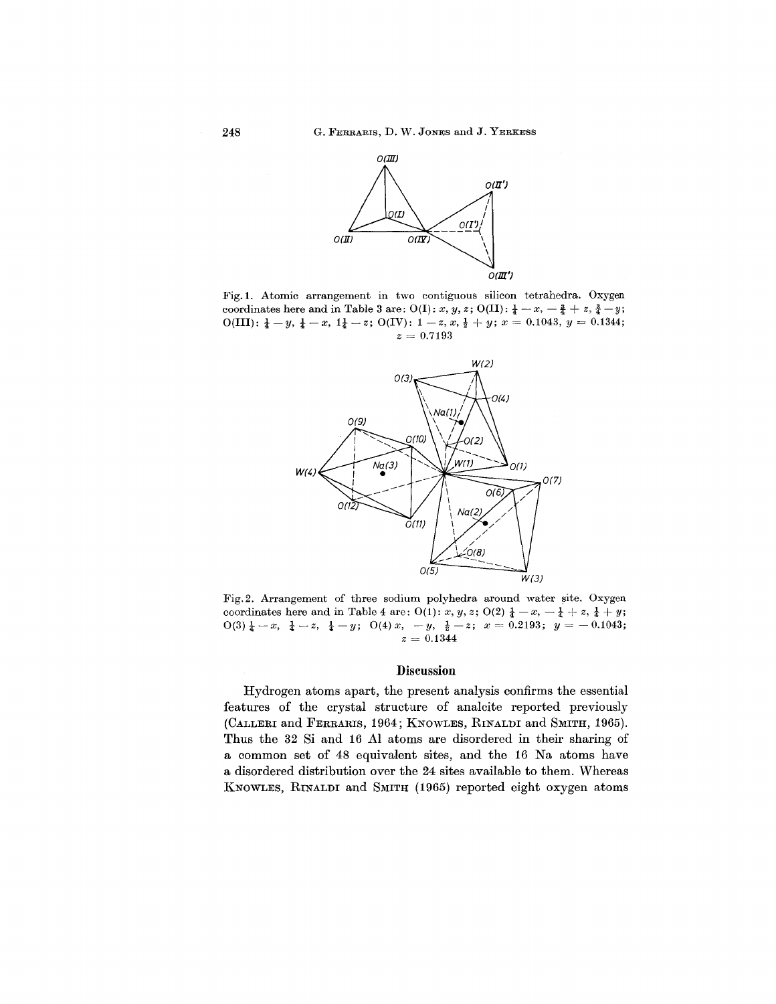

Fig.1. Atomic arrangement in two contiguous silicon tetrahedra. Oxygen coordinates here and in Table 3 are:  $O(I): x, y, z$ ;  $O(II): \frac{1}{4} - x, -\frac{3}{4} + z, \frac{3}{4} - y$ ;  $O(III): \frac{1}{4} - y, \frac{1}{4} - x, 1\frac{1}{4} - z; O(IV): 1 - z, x, \frac{1}{2} + y; x = 0.1043, y = 0.1344;$  $z = 0.7193$ 



Fig.2. Arrangement of three sodium polyhedra around water site. Oxygen coordinates here and in Table 4 are:  $O(1)$ : *x, y, z*;  $O(2)$   $\frac{1}{4} - x$ ,  $-\frac{1}{4} + z$ ,  $\frac{1}{4} + y$ ;  $0(3) \frac{1}{4} - x$ ,  $\frac{1}{4} - z$ ,  $\frac{1}{4} - y$ ;  $0(4) x$ ,  $-y$ ,  $\frac{1}{2} - z$ ;  $x = 0.2193$ ;  $y = -0.1043$ ;  $z = 0.134$ 

#### **Discussion**

Hydrogen atoms apart, the present analysis confirms the essential features of the crystal structure of analcite reported previously (CALLERI and FERRARIS, 1964; KNOWLES, RINALDI and SMITH, 1965). Thus the 32 Si and 16 Al atoms are disordered in their sharing of a common set of 48 equivalent sites, and the 16 Na atoms have a disordered distribution over the 24 sites available to them. Whereas KNOWLES, RINALDI and SMITH (1965) reported eight oxygen atoms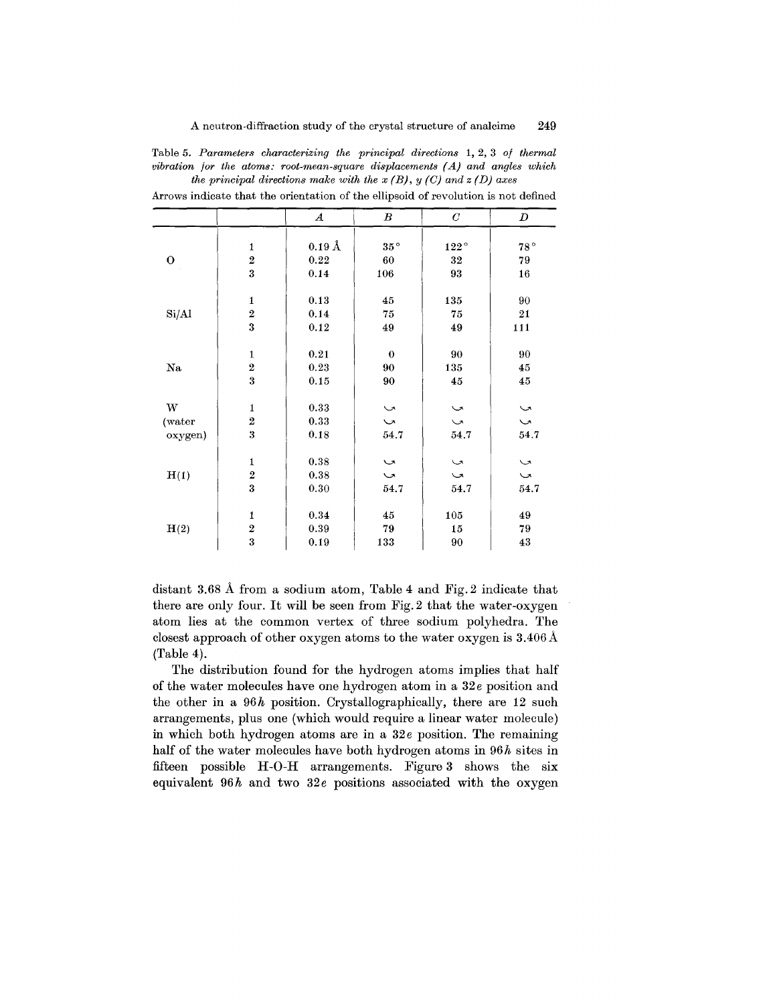|  | Table 5. Parameters characterizing the principal directions 1, 2, 3 of thermal |  |  |  |
|--|--------------------------------------------------------------------------------|--|--|--|
|  | vibration for the atoms: root-mean-square displacements $(A)$ and angles which |  |  |  |
|  | the principal directions make with the $x(B)$ , $y(C)$ and $z(D)$ axes         |  |  |  |

|         |                         | $\boldsymbol{A}$   | $\boldsymbol{B}$     | $\boldsymbol{C}$ | D            |
|---------|-------------------------|--------------------|----------------------|------------------|--------------|
|         |                         |                    |                      |                  |              |
|         | 1                       | $0.19\,\text{\AA}$ | $35^{\circ}$         | $122^{\,\circ}$  | $78^{\circ}$ |
| O       | $\overline{2}$          | $\bf 0.22$         | 60                   | 32               | 79           |
|         | 3                       | 0.14               | 106                  | 93               | $16\,$       |
|         |                         |                    |                      |                  |              |
|         | $\mathbf{1}$            | 0.13               | 45                   | 135              | 90           |
| Si/Al   | $\overline{2}$          | 0.14               | 75                   | 75               | $\bf 21$     |
|         | $\overline{\mathbf{3}}$ | 0.12               | 49                   | 49               | 111          |
|         |                         |                    |                      |                  |              |
|         | $\mathbf{1}$            | 0.21               | $\boldsymbol{0}$     | 90               | 90           |
| Na      | $\overline{2}$          | 0.23               | 90                   | 135              | 45           |
|         | 3                       | 0.15               | 90                   | 45               | $\bf 45$     |
|         |                         |                    |                      |                  |              |
| W       | $\mathbf{1}$            | 0.33               | $\sim$               | $\sim$           | $\sim$       |
| (water  | $\overline{\mathbf{2}}$ | 0.33               | $\ddot{\phantom{0}}$ | $\sim$           | $\sim$       |
| oxygen) | 3                       | 0.18               | 54.7                 | 54.7             | 54.7         |
|         |                         |                    |                      |                  |              |
|         | $\mathbf{1}$            | 0.38               | $\sim$               | $\sim$           | $\sim$       |
| H(1)    | $\overline{2}$          | 0.38               | $\sim$               | $\sim$           | $\sim$       |
|         | $\overline{\mathbf{3}}$ | 0.30               | 54.7                 | 54.7             | 54.7         |
|         |                         |                    |                      |                  |              |
|         | $\mathbf{1}$            | 0.34               | 45                   | 105              | 49           |
| H(2)    | $\boldsymbol{2}$        | 0.39               | 79                   | 15               | 79           |
|         | 3                       | 0.19               | 133                  | 90               | $\bf 43$     |

Arrows indicate that the orientation of the ellipsoid of revolution is not defined

distant 3.68 A from a sodium atom, Table 4 and Fig.2 indicate that there are only four. It will be seen from Fig. 2 that the water-oxygen atom lies at the common vertex of three sodium polyhedra. The closest approach of other oxygen atoms to the water oxygen is 3.406 A (Table 4).

The distribution found for the hydrogen atoms implies that half of the water molecules have one hydrogen atom in a *32e* position and the other in a *96h* position. Crystallographically, there are 12 such arrangements, plus one (which would require a linear water molecule) in which both hydrogen atoms are in a 32e position. The remaining half of the water molecules have both hydrogen atoms in *96h* sites in fifteen possible H-O-H arrangements. Figure 3 shows the six equivalent 96h and two 32e positions associated with the oxygen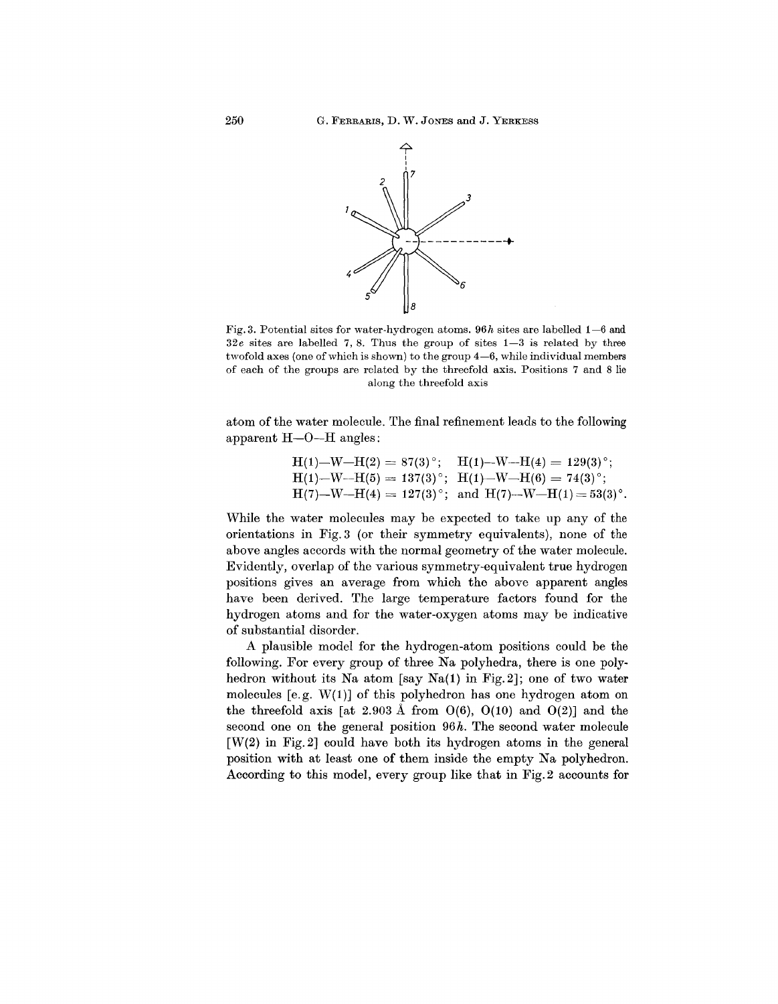

Fig.3. Potential sites for water-hydrogen atoms. *96h* sites are labelled 1-6 and *32e* sites are labelled 7, 8. Thus the group of sites 1-3 is related by three twofold axes (one of which is shown) to the group  $4-6$ , while individual members of each of the groups are related by the threefold axis. Positions 7 and 8 lie along the threefold axis

atom of the water molecule. The final refinement leads to the following apparent H-O-H angles:

$$
H(1) - W - H(2) = 87(3)°; \quad H(1) - W - H(4) = 129(3)°; H(1) - W - H(5) = 137(3)°; \quad H(1) - W - H(6) = 74(3)°; H(7) - W - H(4) = 127(3)°; \text{ and } H(7) - W - H(1) = 53(3)°.
$$

While the water molecules may be expected to take up any of the orientations in Fig.3 (or their symmetry equivalents), none of the above angles accords with the normal geometry of the water molecule. Evidently, overlap of the various symmetry-equivalent true hydrogen positions gives an average from which the above apparent angles have been derived. The large temperature factors found for the hydrogen atoms and for the water-oxygen atoms may be indicative of substantial disorder.

A plausible model for the hydrogen-atom positions could be the following. For every group of three Na polyhedra, there is one polyhedron without its Na atom [say Na(1) in Fig. 2]; one of two water molecules [e.g. W(1)] of this polyhedron has one hydrogen atom on the threefold axis [at 2.903 Å from  $O(6)$ ,  $O(10)$  and  $O(2)$ ] and the second one on the general position *96h.* The second water molecule  $[W(2)$  in Fig. 2] could have both its hydrogen atoms in the general position with at least one of them inside the empty Na polyhedron. According to this model, every group like that in Fig.2 accounts for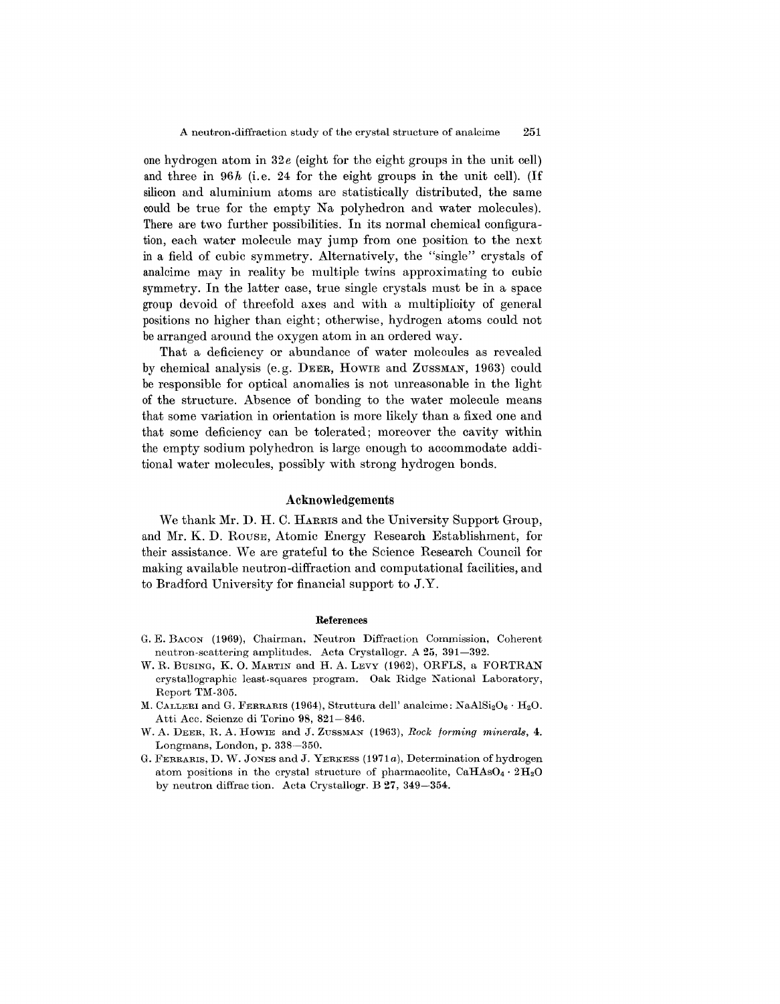one hydrogen atom in *32e* (eight for the eight groups in the unit cell) and three in  $96h$  (i.e. 24 for the eight groups in the unit cell). (If silicon and aluminium atoms are statistically distributed, the same could be true for the empty Na polyhedron and water molecules). There are two further possibilities. In its normal chemical configuration, each water molecule may jump from one position to the next in a field of cubic symmetry. Alternatively, the "single" crystals of analcime may in reality be multiple twins approximating to cubic symmetry. In the latter case, true single crystals must be in a space group devoid of threefold axes and with a multiplicity of general positions no higher than eight; otherwise, hydrogen atoms could not be arranged around the oxygen atom in an ordered way.

That a deficiency or abundance of water molecules as revealed by chemical analysis (e.g. DEER, HOWIE and ZUSSMAN, 1963) could be responsible for optical anomalies is not unreasonable in the light of the structure. Absence of bonding to the water molecule means that some variation in orientation is more likely than a fixed one and that some deficiency can be tolerated; moreover the cavity within the empty sodium polyhedron is large enough to accommodate additional water molecules, possibly with strong hydrogen bonds.

#### Acknowledgements

We thank Mr. D. H. C. HARRIS and the University Support Group, and Mr. K. D. ROUSE, Atomic Energy Research Establishment, for their assistance. Weare grateful to the Science Research Council for making available neutron-diffraction and computational facilities, and to Bradford University for financial support to J.Y.

#### References

- G. E. BACON (1969), Chairman, Neutron Diffraction Commission, Coherent neutron-scattering amplitudes. Acta Crystallogr. A 25, 391-392.
- W. R. BUSING, K. O. MARTIN and H. A. LEVY (1962), ORFLS, a FORTRAN crystallographic least-squares program. Oak Ridge National Laboratory, Report TM-305.
- M. CALLERI and G. FERRARIS (1964), Struttura dell' analcime:  $\text{NaAlSi}_2\text{O}_6 \cdot \text{H}_2\text{O}$ . Atti Acc. Scienze di Torino 98, 821-846.
- W. A. DEER, R. A. HOWIE and J. ZUSSMAN (1963), *Rock forming minerals, 4.* Longmans, London, p. 338-350.
- G. FERRARIS, D. W. JONES and J. YERKESS *(1971a),* Determination of hydrogen atom positions in the crystal structure of pharmacolite,  $CaHAsO<sub>4</sub> \cdot 2H<sub>2</sub>O$ by neutron diffrac tion. Acta Crystallogr. B 27, 349-354.